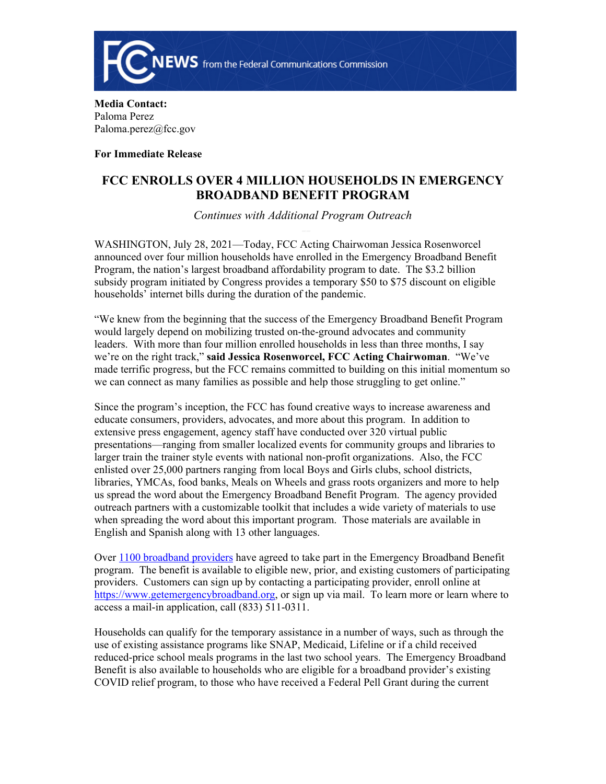

**Media Contact:**  Paloma Perez Paloma.perez@fcc.gov

**For Immediate Release**

## **FCC ENROLLS OVER 4 MILLION HOUSEHOLDS IN EMERGENCY BROADBAND BENEFIT PROGRAM**

*Continues with Additional Program Outreach* 

WASHINGTON, July 28, 2021—Today, FCC Acting Chairwoman Jessica Rosenworcel announced over four million households have enrolled in the Emergency Broadband Benefit Program, the nation's largest broadband affordability program to date. The \$3.2 billion subsidy program initiated by Congress provides a temporary \$50 to \$75 discount on eligible households' internet bills during the duration of the pandemic.

"We knew from the beginning that the success of the Emergency Broadband Benefit Program would largely depend on mobilizing trusted on-the-ground advocates and community leaders. With more than four million enrolled households in less than three months, I say we're on the right track," **said Jessica Rosenworcel, FCC Acting Chairwoman**. "We've made terrific progress, but the FCC remains committed to building on this initial momentum so we can connect as many families as possible and help those struggling to get online."

Since the program's inception, the FCC has found creative ways to increase awareness and educate consumers, providers, advocates, and more about this program. In addition to extensive press engagement, agency staff have conducted over 320 virtual public presentations—ranging from smaller localized events for community groups and libraries to larger train the trainer style events with national non-profit organizations. Also, the FCC enlisted over 25,000 partners ranging from local Boys and Girls clubs, school districts, libraries, YMCAs, food banks, Meals on Wheels and grass roots organizers and more to help us spread the word about the Emergency Broadband Benefit Program. The agency provided outreach partners with a customizable toolkit that includes a wide variety of materials to use when spreading the word about this important program. Those materials are available in English and Spanish along with 13 other languages.

Over [1100 broadband providers](https://www.fcc.gov/emergency-broadband-benefit-providers) have agreed to take part in the Emergency Broadband Benefit program. The benefit is available to eligible new, prior, and existing customers of participating providers. Customers can sign up by contacting a participating provider, enroll online at <https://www.getemergencybroadband.org>, or sign up via mail. To learn more or learn where to access a mail-in application, call (833) 511-0311.

Households can qualify for the temporary assistance in a number of ways, such as through the use of existing assistance programs like SNAP, Medicaid, Lifeline or if a child received reduced-price school meals programs in the last two school years. The Emergency Broadband Benefit is also available to households who are eligible for a broadband provider's existing COVID relief program, to those who have received a Federal Pell Grant during the current